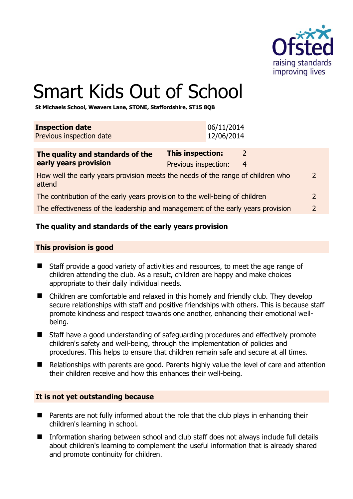

 $\overline{2}$ 

# Smart Kids Out of School

**St Michaels School, Weavers Lane, STONE, Staffordshire, ST15 8QB** 

| <b>Inspection date</b><br>Previous inspection date                                        |                                                 | 06/11/2014<br>12/06/2014 |               |
|-------------------------------------------------------------------------------------------|-------------------------------------------------|--------------------------|---------------|
| The quality and standards of the<br>early years provision                                 | <b>This inspection:</b><br>Previous inspection: | 2<br>4                   |               |
| How well the early years provision meets the needs of the range of children who<br>attend |                                                 |                          | 2             |
| The contribution of the early years provision to the well-being of children               |                                                 |                          | 2             |
| The effectiveness of the leadership and management of the early years provision           |                                                 |                          | $\mathcal{L}$ |

# **The quality and standards of the early years provision**

#### **This provision is good**

- Staff provide a good variety of activities and resources, to meet the age range of children attending the club. As a result, children are happy and make choices appropriate to their daily individual needs.
- Children are comfortable and relaxed in this homely and friendly club. They develop secure relationships with staff and positive friendships with others. This is because staff promote kindness and respect towards one another, enhancing their emotional wellbeing.
- Staff have a good understanding of safeguarding procedures and effectively promote children's safety and well-being, through the implementation of policies and procedures. This helps to ensure that children remain safe and secure at all times.
- Relationships with parents are good. Parents highly value the level of care and attention their children receive and how this enhances their well-being.

#### **It is not yet outstanding because**

- Parents are not fully informed about the role that the club plays in enhancing their children's learning in school.
- Information sharing between school and club staff does not always include full details about children's learning to complement the useful information that is already shared and promote continuity for children.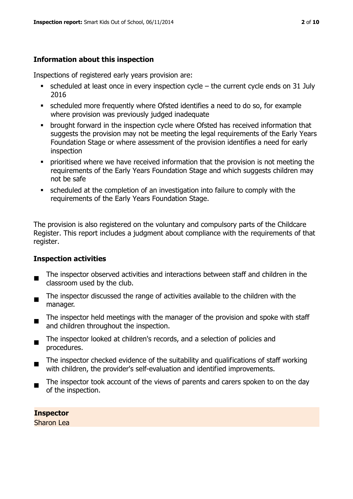# **Information about this inspection**

Inspections of registered early years provision are:

- $\blacksquare$  scheduled at least once in every inspection cycle the current cycle ends on 31 July 2016
- scheduled more frequently where Ofsted identifies a need to do so, for example where provision was previously judged inadequate
- **•** brought forward in the inspection cycle where Ofsted has received information that suggests the provision may not be meeting the legal requirements of the Early Years Foundation Stage or where assessment of the provision identifies a need for early inspection
- **•** prioritised where we have received information that the provision is not meeting the requirements of the Early Years Foundation Stage and which suggests children may not be safe
- scheduled at the completion of an investigation into failure to comply with the requirements of the Early Years Foundation Stage.

The provision is also registered on the voluntary and compulsory parts of the Childcare Register. This report includes a judgment about compliance with the requirements of that register.

# **Inspection activities**

- $\blacksquare$ The inspector observed activities and interactions between staff and children in the classroom used by the club.
- The inspector discussed the range of activities available to the children with the manager.
- $\blacksquare$ The inspector held meetings with the manager of the provision and spoke with staff and children throughout the inspection.
- $\blacksquare$ The inspector looked at children's records, and a selection of policies and procedures.
- The inspector checked evidence of the suitability and qualifications of staff working with children, the provider's self-evaluation and identified improvements.
- The inspector took account of the views of parents and carers spoken to on the day of the inspection.

**Inspector**  Sharon Lea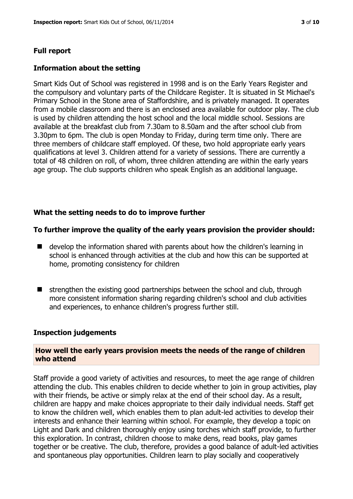# **Full report**

#### **Information about the setting**

Smart Kids Out of School was registered in 1998 and is on the Early Years Register and the compulsory and voluntary parts of the Childcare Register. It is situated in St Michael's Primary School in the Stone area of Staffordshire, and is privately managed. It operates from a mobile classroom and there is an enclosed area available for outdoor play. The club is used by children attending the host school and the local middle school. Sessions are available at the breakfast club from 7.30am to 8.50am and the after school club from 3.30pm to 6pm. The club is open Monday to Friday, during term time only. There are three members of childcare staff employed. Of these, two hold appropriate early years qualifications at level 3. Children attend for a variety of sessions. There are currently a total of 48 children on roll, of whom, three children attending are within the early years age group. The club supports children who speak English as an additional language.

#### **What the setting needs to do to improve further**

#### **To further improve the quality of the early years provision the provider should:**

- develop the information shared with parents about how the children's learning in school is enhanced through activities at the club and how this can be supported at home, promoting consistency for children
- $\blacksquare$  strengthen the existing good partnerships between the school and club, through more consistent information sharing regarding children's school and club activities and experiences, to enhance children's progress further still.

#### **Inspection judgements**

#### **How well the early years provision meets the needs of the range of children who attend**

Staff provide a good variety of activities and resources, to meet the age range of children attending the club. This enables children to decide whether to join in group activities, play with their friends, be active or simply relax at the end of their school day. As a result, children are happy and make choices appropriate to their daily individual needs. Staff get to know the children well, which enables them to plan adult-led activities to develop their interests and enhance their learning within school. For example, they develop a topic on Light and Dark and children thoroughly enjoy using torches which staff provide, to further this exploration. In contrast, children choose to make dens, read books, play games together or be creative. The club, therefore, provides a good balance of adult-led activities and spontaneous play opportunities. Children learn to play socially and cooperatively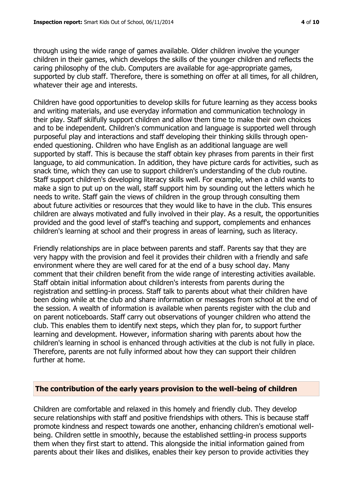through using the wide range of games available. Older children involve the younger children in their games, which develops the skills of the younger children and reflects the caring philosophy of the club. Computers are available for age-appropriate games, supported by club staff. Therefore, there is something on offer at all times, for all children, whatever their age and interests.

Children have good opportunities to develop skills for future learning as they access books and writing materials, and use everyday information and communication technology in their play. Staff skilfully support children and allow them time to make their own choices and to be independent. Children's communication and language is supported well through purposeful play and interactions and staff developing their thinking skills through openended questioning. Children who have English as an additional language are well supported by staff. This is because the staff obtain key phrases from parents in their first language, to aid communication. In addition, they have picture cards for activities, such as snack time, which they can use to support children's understanding of the club routine. Staff support children's developing literacy skills well. For example, when a child wants to make a sign to put up on the wall, staff support him by sounding out the letters which he needs to write. Staff gain the views of children in the group through consulting them about future activities or resources that they would like to have in the club. This ensures children are always motivated and fully involved in their play. As a result, the opportunities provided and the good level of staff's teaching and support, complements and enhances children's learning at school and their progress in areas of learning, such as literacy.

Friendly relationships are in place between parents and staff. Parents say that they are very happy with the provision and feel it provides their children with a friendly and safe environment where they are well cared for at the end of a busy school day. Many comment that their children benefit from the wide range of interesting activities available. Staff obtain initial information about children's interests from parents during the registration and settling-in process. Staff talk to parents about what their children have been doing while at the club and share information or messages from school at the end of the session. A wealth of information is available when parents register with the club and on parent noticeboards. Staff carry out observations of younger children who attend the club. This enables them to identify next steps, which they plan for, to support further learning and development. However, information sharing with parents about how the children's learning in school is enhanced through activities at the club is not fully in place. Therefore, parents are not fully informed about how they can support their children further at home.

# **The contribution of the early years provision to the well-being of children**

Children are comfortable and relaxed in this homely and friendly club. They develop secure relationships with staff and positive friendships with others. This is because staff promote kindness and respect towards one another, enhancing children's emotional wellbeing. Children settle in smoothly, because the established settling-in process supports them when they first start to attend. This alongside the initial information gained from parents about their likes and dislikes, enables their key person to provide activities they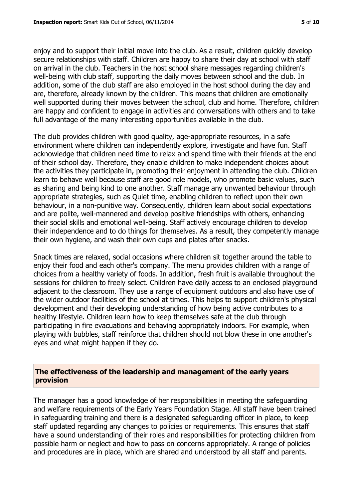enjoy and to support their initial move into the club. As a result, children quickly develop secure relationships with staff. Children are happy to share their day at school with staff on arrival in the club. Teachers in the host school share messages regarding children's well-being with club staff, supporting the daily moves between school and the club. In addition, some of the club staff are also employed in the host school during the day and are, therefore, already known by the children. This means that children are emotionally well supported during their moves between the school, club and home. Therefore, children are happy and confident to engage in activities and conversations with others and to take full advantage of the many interesting opportunities available in the club.

The club provides children with good quality, age-appropriate resources, in a safe environment where children can independently explore, investigate and have fun. Staff acknowledge that children need time to relax and spend time with their friends at the end of their school day. Therefore, they enable children to make independent choices about the activities they participate in, promoting their enjoyment in attending the club. Children learn to behave well because staff are good role models, who promote basic values, such as sharing and being kind to one another. Staff manage any unwanted behaviour through appropriate strategies, such as Quiet time, enabling children to reflect upon their own behaviour, in a non-punitive way. Consequently, children learn about social expectations and are polite, well-mannered and develop positive friendships with others, enhancing their social skills and emotional well-being. Staff actively encourage children to develop their independence and to do things for themselves. As a result, they competently manage their own hygiene, and wash their own cups and plates after snacks.

Snack times are relaxed, social occasions where children sit together around the table to enjoy their food and each other's company. The menu provides children with a range of choices from a healthy variety of foods. In addition, fresh fruit is available throughout the sessions for children to freely select. Children have daily access to an enclosed playground adjacent to the classroom. They use a range of equipment outdoors and also have use of the wider outdoor facilities of the school at times. This helps to support children's physical development and their developing understanding of how being active contributes to a healthy lifestyle. Children learn how to keep themselves safe at the club through participating in fire evacuations and behaving appropriately indoors. For example, when playing with bubbles, staff reinforce that children should not blow these in one another's eyes and what might happen if they do.

#### **The effectiveness of the leadership and management of the early years provision**

The manager has a good knowledge of her responsibilities in meeting the safeguarding and welfare requirements of the Early Years Foundation Stage. All staff have been trained in safeguarding training and there is a designated safeguarding officer in place, to keep staff updated regarding any changes to policies or requirements. This ensures that staff have a sound understanding of their roles and responsibilities for protecting children from possible harm or neglect and how to pass on concerns appropriately. A range of policies and procedures are in place, which are shared and understood by all staff and parents.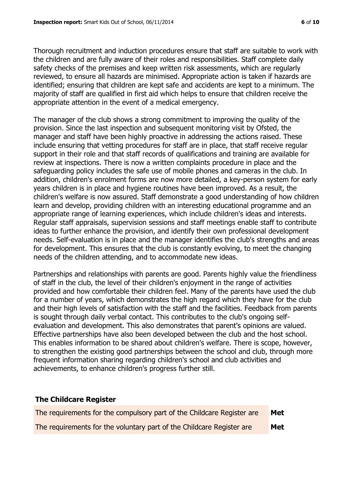Thorough recruitment and induction procedures ensure that staff are suitable to work with the children and are fully aware of their roles and responsibilities. Staff complete daily safety checks of the premises and keep written risk assessments, which are regularly reviewed, to ensure all hazards are minimised. Appropriate action is taken if hazards are identified; ensuring that children are kept safe and accidents are kept to a minimum. The majority of staff are qualified in first aid which helps to ensure that children receive the appropriate attention in the event of a medical emergency.

The manager of the club shows a strong commitment to improving the quality of the provision. Since the last inspection and subsequent monitoring visit by Ofsted, the manager and staff have been highly proactive in addressing the actions raised. These include ensuring that vetting procedures for staff are in place, that staff receive regular support in their role and that staff records of qualifications and training are available for review at inspections. There is now a written complaints procedure in place and the safeguarding policy includes the safe use of mobile phones and cameras in the club. In addition, children's enrolment forms are now more detailed, a key-person system for early years children is in place and hygiene routines have been improved. As a result, the children's welfare is now assured. Staff demonstrate a good understanding of how children learn and develop, providing children with an interesting educational programme and an appropriate range of learning experiences, which include children's ideas and interests. Regular staff appraisals, supervision sessions and staff meetings enable staff to contribute ideas to further enhance the provision, and identify their own professional development needs. Self-evaluation is in place and the manager identifies the club's strengths and areas for development. This ensures that the club is constantly evolving, to meet the changing needs of the children attending, and to accommodate new ideas.

Partnerships and relationships with parents are good. Parents highly value the friendliness of staff in the club, the level of their children's enjoyment in the range of activities provided and how comfortable their children feel. Many of the parents have used the club for a number of years, which demonstrates the high regard which they have for the club and their high levels of satisfaction with the staff and the facilities. Feedback from parents is sought through daily verbal contact. This contributes to the club's ongoing selfevaluation and development. This also demonstrates that parent's opinions are valued. Effective partnerships have also been developed between the club and the host school. This enables information to be shared about children's welfare. There is scope, however, to strengthen the existing good partnerships between the school and club, through more frequent information sharing regarding children's school and club activities and achievements, to enhance children's progress further still.

# **The Childcare Register**

| The requirements for the compulsory part of the Childcare Register are | Met        |
|------------------------------------------------------------------------|------------|
| The requirements for the voluntary part of the Childcare Register are  | <b>Met</b> |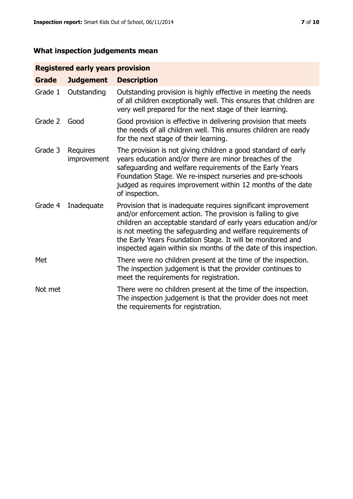# **What inspection judgements mean**

# **Registered early years provision**

| <b>Grade</b> | <b>Judgement</b>               | <b>Description</b>                                                                                                                                                                                                                                                                                                                                                                                |
|--------------|--------------------------------|---------------------------------------------------------------------------------------------------------------------------------------------------------------------------------------------------------------------------------------------------------------------------------------------------------------------------------------------------------------------------------------------------|
| Grade 1      | Outstanding                    | Outstanding provision is highly effective in meeting the needs<br>of all children exceptionally well. This ensures that children are<br>very well prepared for the next stage of their learning.                                                                                                                                                                                                  |
| Grade 2      | Good                           | Good provision is effective in delivering provision that meets<br>the needs of all children well. This ensures children are ready<br>for the next stage of their learning.                                                                                                                                                                                                                        |
| Grade 3      | <b>Requires</b><br>improvement | The provision is not giving children a good standard of early<br>years education and/or there are minor breaches of the<br>safeguarding and welfare requirements of the Early Years<br>Foundation Stage. We re-inspect nurseries and pre-schools<br>judged as requires improvement within 12 months of the date<br>of inspection.                                                                 |
| Grade 4      | Inadequate                     | Provision that is inadequate requires significant improvement<br>and/or enforcement action. The provision is failing to give<br>children an acceptable standard of early years education and/or<br>is not meeting the safeguarding and welfare requirements of<br>the Early Years Foundation Stage. It will be monitored and<br>inspected again within six months of the date of this inspection. |
| Met          |                                | There were no children present at the time of the inspection.<br>The inspection judgement is that the provider continues to<br>meet the requirements for registration.                                                                                                                                                                                                                            |
| Not met      |                                | There were no children present at the time of the inspection.<br>The inspection judgement is that the provider does not meet<br>the requirements for registration.                                                                                                                                                                                                                                |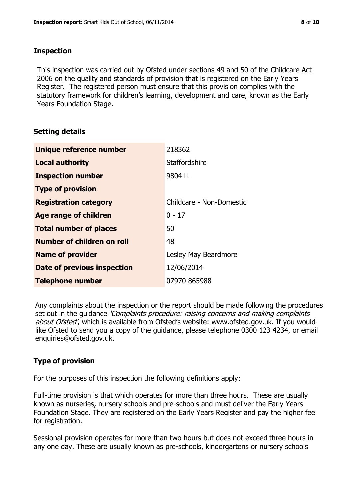#### **Inspection**

This inspection was carried out by Ofsted under sections 49 and 50 of the Childcare Act 2006 on the quality and standards of provision that is registered on the Early Years Register. The registered person must ensure that this provision complies with the statutory framework for children's learning, development and care, known as the Early Years Foundation Stage.

# **Setting details**

| Unique reference number            | 218362                   |
|------------------------------------|--------------------------|
| <b>Local authority</b>             | Staffordshire            |
| <b>Inspection number</b>           | 980411                   |
| <b>Type of provision</b>           |                          |
| <b>Registration category</b>       | Childcare - Non-Domestic |
| Age range of children              | $0 - 17$                 |
| <b>Total number of places</b>      | 50                       |
| Number of children on roll         | 48                       |
| <b>Name of provider</b>            | Lesley May Beardmore     |
| <b>Date of previous inspection</b> | 12/06/2014               |
| <b>Telephone number</b>            | 07970 865988             |

Any complaints about the inspection or the report should be made following the procedures set out in the guidance *'Complaints procedure: raising concerns and making complaints* about Ofsted', which is available from Ofsted's website: www.ofsted.gov.uk. If you would like Ofsted to send you a copy of the guidance, please telephone 0300 123 4234, or email enquiries@ofsted.gov.uk.

# **Type of provision**

For the purposes of this inspection the following definitions apply:

Full-time provision is that which operates for more than three hours. These are usually known as nurseries, nursery schools and pre-schools and must deliver the Early Years Foundation Stage. They are registered on the Early Years Register and pay the higher fee for registration.

Sessional provision operates for more than two hours but does not exceed three hours in any one day. These are usually known as pre-schools, kindergartens or nursery schools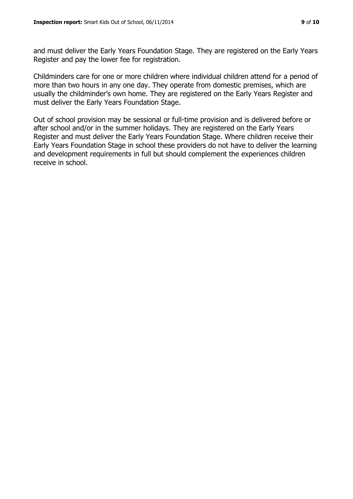and must deliver the Early Years Foundation Stage. They are registered on the Early Years Register and pay the lower fee for registration.

Childminders care for one or more children where individual children attend for a period of more than two hours in any one day. They operate from domestic premises, which are usually the childminder's own home. They are registered on the Early Years Register and must deliver the Early Years Foundation Stage.

Out of school provision may be sessional or full-time provision and is delivered before or after school and/or in the summer holidays. They are registered on the Early Years Register and must deliver the Early Years Foundation Stage. Where children receive their Early Years Foundation Stage in school these providers do not have to deliver the learning and development requirements in full but should complement the experiences children receive in school.